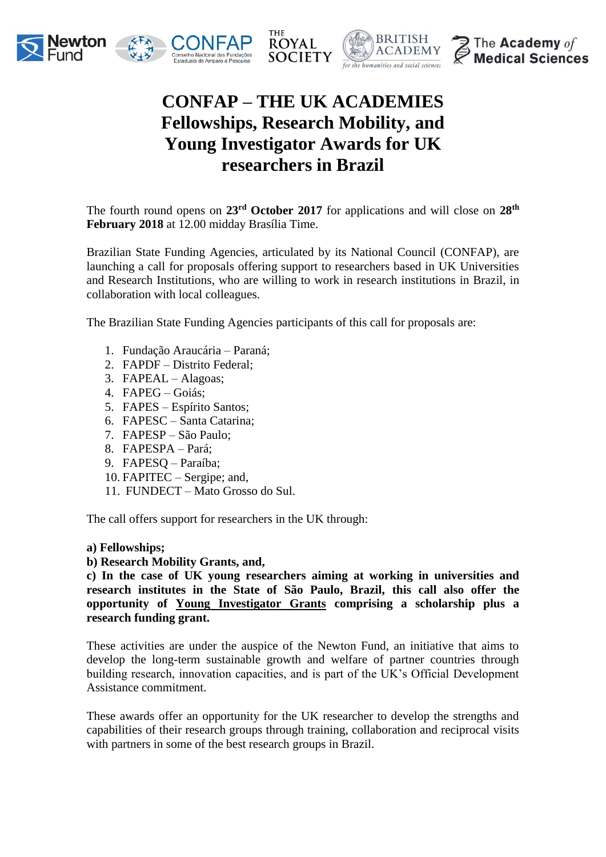







# **CONFAP – THE UK ACADEMIES Fellowships, Research Mobility, and Young Investigator Awards for UK researchers in Brazil**

The fourth round opens on **23rd October 2017** for applications and will close on **28th February 2018** at 12.00 midday Brasília Time.

Brazilian State Funding Agencies, articulated by its National Council (CONFAP), are launching a call for proposals offering support to researchers based in UK Universities and Research Institutions, who are willing to work in research institutions in Brazil, in collaboration with local colleagues.

The Brazilian State Funding Agencies participants of this call for proposals are:

- 1. Fundação Araucária Paraná;
- 2. FAPDF Distrito Federal;
- 3. FAPEAL Alagoas;
- 4. FAPEG Goiás;
- 5. FAPES Espírito Santos;
- 6. FAPESC Santa Catarina;
- 7. FAPESP São Paulo;
- 8. FAPESPA Pará;
- 9. FAPESQ Paraíba;
- 10. FAPITEC Sergipe; and,
- 11. FUNDECT Mato Grosso do Sul.

The call offers support for researchers in the UK through:

#### **a) Fellowships;**

### **b) Research Mobility Grants, and,**

**c) In the case of UK young researchers aiming at working in universities and research institutes in the State of São Paulo, Brazil, this call also offer the opportunity of Young Investigator Grants comprising a scholarship plus a research funding grant.** 

These activities are under the auspice of the Newton Fund, an initiative that aims to develop the long-term sustainable growth and welfare of partner countries through building research, innovation capacities, and is part of the UK's Official Development Assistance commitment.

These awards offer an opportunity for the UK researcher to develop the strengths and capabilities of their research groups through training, collaboration and reciprocal visits with partners in some of the best research groups in Brazil.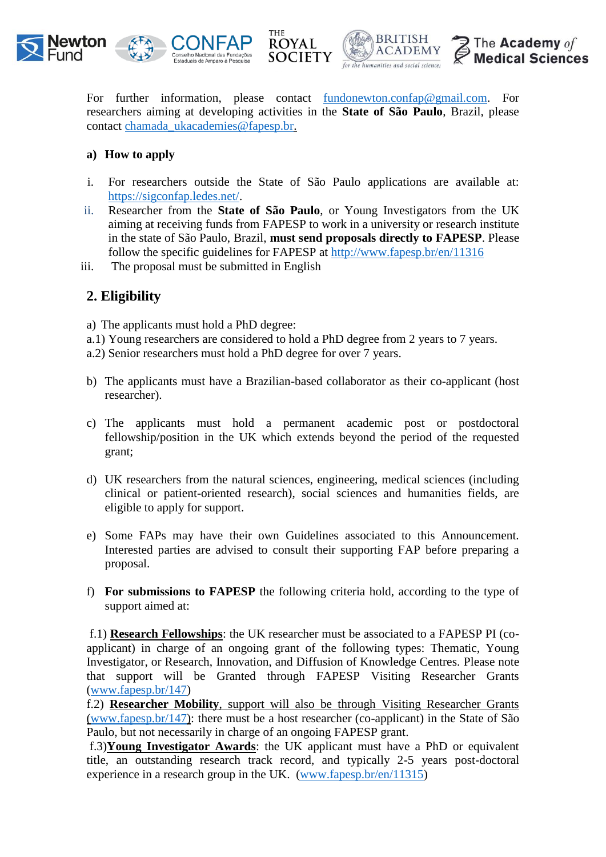



**BRITISH** The Academy of **ACADEMY Medical Sciences** for the humanities and social sciences

For further information, please contact <u>fundonewton.confap@gmail.com</u>. For researchers aiming at developing activities in the **State of São Paulo**, Brazil, please contact [chamada\\_ukacademies@fapesp.br.](mailto:chamada_ukacademies@fapesp.br)

#### **a) How to apply**

- i. For researchers outside the State of São Paulo applications are available at: [https://sigconfap.ledes.net/.](https://sigconfap.ledes.net/)
- ii. Researcher from the **State of São Paulo**, or Young Investigators from the UK aiming at receiving funds from FAPESP to work in a university or research institute in the state of São Paulo, Brazil, **must send proposals directly to FAPESP**. Please follow the specific guidelines for FAPESP at <http://www.fapesp.br/en/11316>
- iii. The proposal must be submitted in English

### **2. Eligibility**

a) The applicants must hold a PhD degree:

- a.1) Young researchers are considered to hold a PhD degree from 2 years to 7 years.
- a.2) Senior researchers must hold a PhD degree for over 7 years.
- b) The applicants must have a Brazilian-based collaborator as their co-applicant (host researcher).
- c) The applicants must hold a permanent academic post or postdoctoral fellowship/position in the UK which extends beyond the period of the requested grant;
- d) UK researchers from the natural sciences, engineering, medical sciences (including clinical or patient-oriented research), social sciences and humanities fields, are eligible to apply for support.
- e) Some FAPs may have their own Guidelines associated to this Announcement. Interested parties are advised to consult their supporting FAP before preparing a proposal.
- f) **For submissions to FAPESP** the following criteria hold, according to the type of support aimed at:

f.1) **Research Fellowships**: the UK researcher must be associated to a FAPESP PI (coapplicant) in charge of an ongoing grant of the following types: Thematic, Young Investigator, or Research, Innovation, and Diffusion of Knowledge Centres. Please note that support will be Granted through FAPESP Visiting Researcher Grants [\(www.fapesp.br/147\)](http://www.fapesp.br/147)

f.2) **Researcher Mobility**, support will also be through Visiting Researcher Grants [\(www.fapesp.br/147\)](http://www.fapesp.br/147): there must be a host researcher (co-applicant) in the State of São Paulo, but not necessarily in charge of an ongoing FAPESP grant.

f.3)**Young Investigator Awards**: the UK applicant must have a PhD or equivalent title, an outstanding research track record, and typically 2-5 years post-doctoral experience in a research group in the UK. [\(www.fapesp.br/en/11315\)](http://www.fapesp.br/en/11315)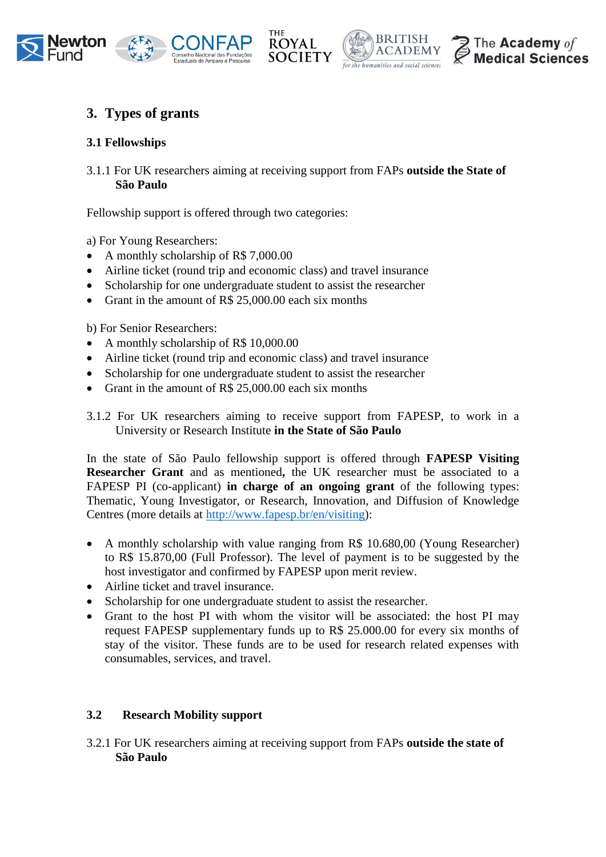





# **3. Types of grants**

### **3.1 Fellowships**

3.1.1 For UK researchers aiming at receiving support from FAPs **outside the State of São Paulo** 

Fellowship support is offered through two categories:

a) For Young Researchers:

- A monthly scholarship of R\$ 7,000.00
- Airline ticket (round trip and economic class) and travel insurance
- Scholarship for one undergraduate student to assist the researcher
- Grant in the amount of R\$ 25,000.00 each six months

b) For Senior Researchers:

- A monthly scholarship of R\$ 10,000.00
- Airline ticket (round trip and economic class) and travel insurance
- Scholarship for one undergraduate student to assist the researcher
- Grant in the amount of R\$ 25,000.00 each six months

3.1.2 For UK researchers aiming to receive support from FAPESP, to work in a University or Research Institute **in the State of São Paulo**

In the state of São Paulo fellowship support is offered through **FAPESP Visiting Researcher Grant** and as mentioned**,** the UK researcher must be associated to a FAPESP PI (co-applicant) **in charge of an ongoing grant** of the following types: Thematic, Young Investigator, or Research, Innovation, and Diffusion of Knowledge Centres (more details at [http://www.fapesp.br/en/visiting\)](http://www.fapesp.br/en/visiting):

- A monthly scholarship with value ranging from R\$ 10.680,00 (Young Researcher) to R\$ 15.870,00 (Full Professor). The level of payment is to be suggested by the host investigator and confirmed by FAPESP upon merit review.
- Airline ticket and travel insurance.
- Scholarship for one undergraduate student to assist the researcher.
- Grant to the host PI with whom the visitor will be associated: the host PI may request FAPESP supplementary funds up to R\$ 25.000.00 for every six months of stay of the visitor. These funds are to be used for research related expenses with consumables, services, and travel.

### **3.2 Research Mobility support**

3.2.1 For UK researchers aiming at receiving support from FAPs **outside the state of São Paulo**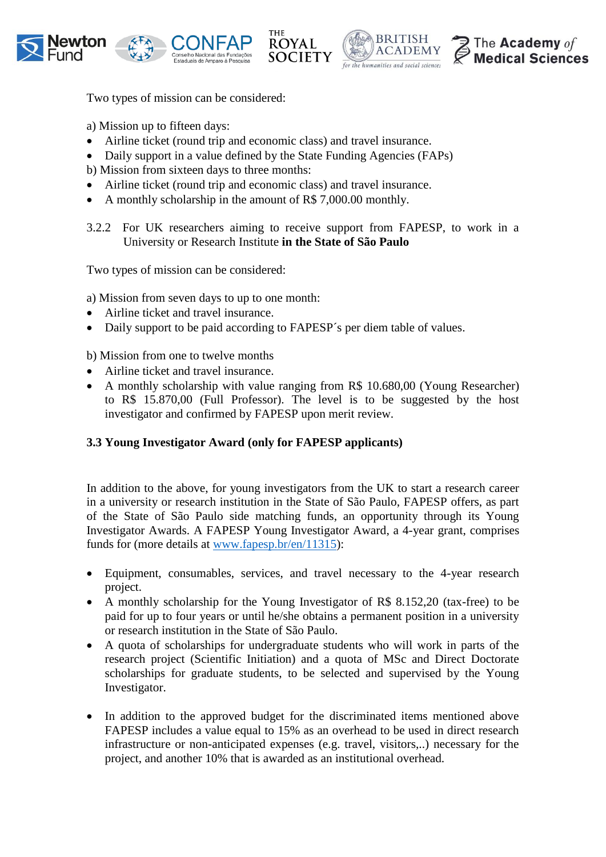



**BRITISH** 

for the humanities and social science

**ACADEMY** 



Two types of mission can be considered:

a) Mission up to fifteen days:

- Airline ticket (round trip and economic class) and travel insurance.
- Daily support in a value defined by the State Funding Agencies (FAPs)
- b) Mission from sixteen days to three months:
- Airline ticket (round trip and economic class) and travel insurance.
- A monthly scholarship in the amount of R\$ 7,000.00 monthly.
- 3.2.2 For UK researchers aiming to receive support from FAPESP, to work in a University or Research Institute **in the State of São Paulo**

Two types of mission can be considered:

a) Mission from seven days to up to one month:

- Airline ticket and travel insurance.
- Daily support to be paid according to FAPESP´s per diem table of values.

b) Mission from one to twelve months

- Airline ticket and travel insurance.
- A monthly scholarship with value ranging from R\$ 10.680,00 (Young Researcher) to R\$ 15.870,00 (Full Professor). The level is to be suggested by the host investigator and confirmed by FAPESP upon merit review.

### **3.3 Young Investigator Award (only for FAPESP applicants)**

In addition to the above, for young investigators from the UK to start a research career in a university or research institution in the State of São Paulo, FAPESP offers, as part of the State of São Paulo side matching funds, an opportunity through its Young Investigator Awards. A FAPESP Young Investigator Award, a 4-year grant, comprises funds for (more details at [www.fapesp.br/en/11315\)](http://www.fapesp.br/en/11315):

- Equipment, consumables, services, and travel necessary to the 4-year research project.
- A monthly scholarship for the Young Investigator of R\$ 8.152,20 (tax-free) to be paid for up to four years or until he/she obtains a permanent position in a university or research institution in the State of São Paulo.
- A quota of scholarships for undergraduate students who will work in parts of the research project (Scientific Initiation) and a quota of MSc and Direct Doctorate scholarships for graduate students, to be selected and supervised by the Young Investigator.
- In addition to the approved budget for the discriminated items mentioned above FAPESP includes a value equal to 15% as an overhead to be used in direct research infrastructure or non-anticipated expenses (e.g. travel, visitors,..) necessary for the project, and another 10% that is awarded as an institutional overhead.